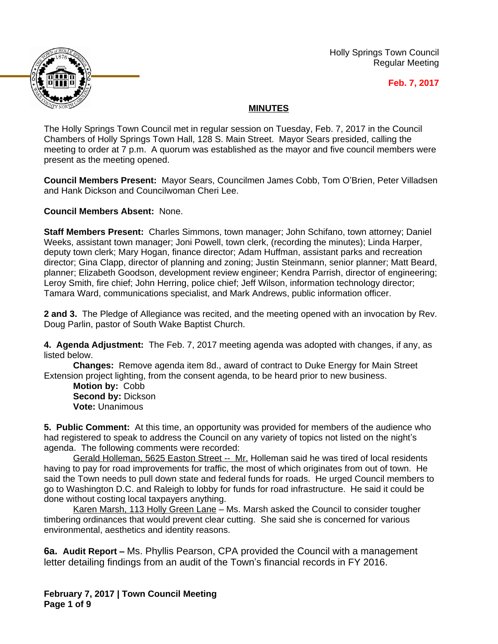

Holly Springs Town Council Regular Meeting

**Feb. 7, 2017**

## **MINUTES**

The Holly Springs Town Council met in regular session on Tuesday, Feb. 7, 2017 in the Council Chambers of Holly Springs Town Hall, 128 S. Main Street. Mayor Sears presided, calling the meeting to order at 7 p.m. A quorum was established as the mayor and five council members were present as the meeting opened.

**Council Members Present:** Mayor Sears, Councilmen James Cobb, Tom O'Brien, Peter Villadsen and Hank Dickson and Councilwoman Cheri Lee.

**Council Members Absent:** None.

**Staff Members Present:** Charles Simmons, town manager; John Schifano, town attorney; Daniel Weeks, assistant town manager; Joni Powell, town clerk, (recording the minutes); Linda Harper, deputy town clerk; Mary Hogan, finance director; Adam Huffman, assistant parks and recreation director; Gina Clapp, director of planning and zoning; Justin Steinmann, senior planner; Matt Beard, planner; Elizabeth Goodson, development review engineer; Kendra Parrish, director of engineering; Leroy Smith, fire chief; John Herring, police chief; Jeff Wilson, information technology director; Tamara Ward, communications specialist, and Mark Andrews, public information officer.

**2 and 3.** The Pledge of Allegiance was recited, and the meeting opened with an invocation by Rev. Doug Parlin, pastor of South Wake Baptist Church.

**4. Agenda Adjustment:** The Feb. 7, 2017 meeting agenda was adopted with changes, if any, as listed below.

**Changes:** Remove agenda item 8d., award of contract to Duke Energy for Main Street Extension project lighting, from the consent agenda, to be heard prior to new business.

**Motion by:** Cobb **Second by: Dickson Vote:** Unanimous

**5. Public Comment:** At this time, an opportunity was provided for members of the audience who had registered to speak to address the Council on any variety of topics not listed on the night's agenda. The following comments were recorded:

Gerald Holleman, 5625 Easton Street -- Mr. Holleman said he was tired of local residents having to pay for road improvements for traffic, the most of which originates from out of town. He said the Town needs to pull down state and federal funds for roads. He urged Council members to go to Washington D.C. and Raleigh to lobby for funds for road infrastructure. He said it could be done without costing local taxpayers anything.

Karen Marsh, 113 Holly Green Lane - Ms. Marsh asked the Council to consider tougher timbering ordinances that would prevent clear cutting. She said she is concerned for various environmental, aesthetics and identity reasons.

**6a. Audit Report –** Ms. Phyllis Pearson, CPA provided the Council with a management letter detailing findings from an audit of the Town's financial records in FY 2016.

**February 7, 2017 | Town Council Meeting Page 1 of 9**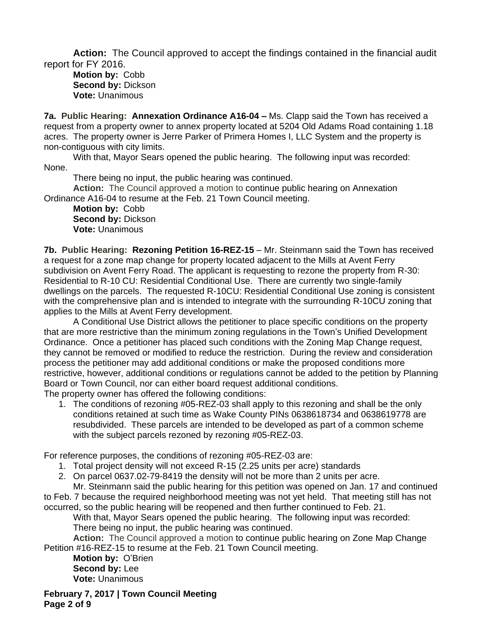**Action:** The Council approved to accept the findings contained in the financial audit report for FY 2016.

**Motion by:** Cobb **Second by:** Dickson **Vote:** Unanimous

**7a. Public Hearing: Annexation Ordinance A16-04 - Ms. Clapp said the Town has received a** request from a property owner to annex property located at 5204 Old Adams Road containing 1.18 acres. The property owner is Jerre Parker of Primera Homes I, LLC System and the property is non-contiguous with city limits.

With that, Mayor Sears opened the public hearing. The following input was recorded: None.

There being no input, the public hearing was continued.

**Action:** The Council approved a motion to continue public hearing on Annexation Ordinance A16-04 to resume at the Feb. 21 Town Council meeting.

**Motion by:** Cobb **Second by:** Dickson **Vote:** Unanimous

**7b. Public Hearing: Rezoning Petition 16-REZ-15** – Mr. Steinmann said the Town has received a request for a zone map change for property located adjacent to the Mills at Avent Ferry subdivision on Avent Ferry Road. The applicant is requesting to rezone the property from R-30: Residential to R-10 CU: Residential Conditional Use. There are currently two single-family dwellings on the parcels. The requested R-10CU: Residential Conditional Use zoning is consistent with the comprehensive plan and is intended to integrate with the surrounding R-10CU zoning that applies to the Mills at Avent Ferry development.

A Conditional Use District allows the petitioner to place specific conditions on the property that are more restrictive than the minimum zoning regulations in the Town's Unified Development Ordinance. Once a petitioner has placed such conditions with the Zoning Map Change request, they cannot be removed or modified to reduce the restriction. During the review and consideration process the petitioner may add additional conditions or make the proposed conditions more restrictive, however, additional conditions or regulations cannot be added to the petition by Planning Board or Town Council, nor can either board request additional conditions.

The property owner has offered the following conditions:

1. The conditions of rezoning #05-REZ-03 shall apply to this rezoning and shall be the only conditions retained at such time as Wake County PINs 0638618734 and 0638619778 are resubdivided. These parcels are intended to be developed as part of a common scheme with the subject parcels rezoned by rezoning #05-REZ-03.

For reference purposes, the conditions of rezoning #05-REZ-03 are:

- 1. Total project density will not exceed R-15 (2.25 units per acre) standards
- 2. On parcel 0637.02-79-8419 the density will not be more than 2 units per acre.

Mr. Steinmann said the public hearing for this petition was opened on Jan. 17 and continued to Feb. 7 because the required neighborhood meeting was not yet held. That meeting still has not occurred, so the public hearing will be reopened and then further continued to Feb. 21.

With that, Mayor Sears opened the public hearing. The following input was recorded: There being no input, the public hearing was continued.

**Action:** The Council approved a motion to continue public hearing on Zone Map Change Petition #16-REZ-15 to resume at the Feb. 21 Town Council meeting.

**Motion by:** O'Brien **Second by:** Lee **Vote:** Unanimous

**February 7, 2017 | Town Council Meeting Page 2 of 9**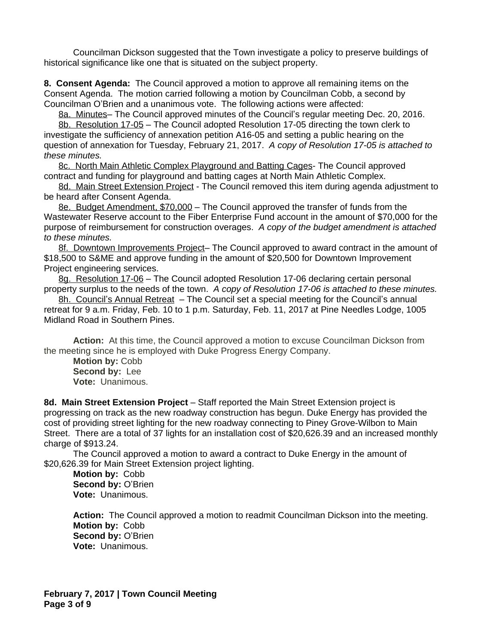Councilman Dickson suggested that the Town investigate a policy to preserve buildings of historical significance like one that is situated on the subject property.

**8. Consent Agenda:** The Council approved a motion to approve all remaining items on the Consent Agenda. The motion carried following a motion by Councilman Cobb, a second by Councilman O'Brien and a unanimous vote. The following actions were affected:

8a. Minutes– The Council approved minutes of the Council's regular meeting Dec. 20, 2016.

8b. Resolution 17-05 – The Council adopted Resolution 17-05 directing the town clerk to investigate the sufficiency of annexation petition A16-05 and setting a public hearing on the question of annexation for Tuesday, February 21, 2017.*A copy of Resolution 17-05 is attached to these minutes.*

8c. North Main Athletic Complex Playground and Batting Cages- The Council approved contract and funding for playground and batting cages at North Main Athletic Complex.

8d. Main Street Extension Project - The Council removed this item during agenda adjustment to be heard after Consent Agenda.

8e. Budget Amendment, \$70,000 – The Council approved the transfer of funds from the Wastewater Reserve account to the Fiber Enterprise Fund account in the amount of \$70,000 for the purpose of reimbursement for construction overages. *A copy of the budget amendment is attached to these minutes.*

8f. Downtown Improvements Project– The Council approved to award contract in the amount of \$18,500 to S&ME and approve funding in the amount of \$20,500 for Downtown Improvement Project engineering services.

8g. Resolution 17-06 – The Council adopted Resolution 17-06 declaring certain personal property surplus to the needs of the town. *A copy of Resolution 17-06 is attached to these minutes.*

8h. Council's Annual Retreat – The Council set a special meeting for the Council's annual retreat for 9 a.m. Friday, Feb. 10 to 1 p.m. Saturday, Feb. 11, 2017 at Pine Needles Lodge, 1005 Midland Road in Southern Pines.

**Action:** At this time, the Council approved a motion to excuse Councilman Dickson from the meeting since he is employed with Duke Progress Energy Company.

**Motion by:** Cobb **Second by:** Lee **Vote:** Unanimous.

**8d. Main Street Extension Project** – Staff reported the Main Street Extension project is progressing on track as the new roadway construction has begun. Duke Energy has provided the cost of providing street lighting for the new roadway connecting to Piney Grove-Wilbon to Main Street. There are a total of 37 lights for an installation cost of \$20,626.39 and an increased monthly charge of \$913.24.

The Council approved a motion to award a contract to Duke Energy in the amount of \$20,626.39 for Main Street Extension project lighting.

**Motion by:** Cobb **Second by:** O'Brien **Vote:** Unanimous.

**Action:** The Council approved a motion to readmit Councilman Dickson into the meeting. **Motion by:** Cobb **Second by:** O'Brien **Vote:** Unanimous.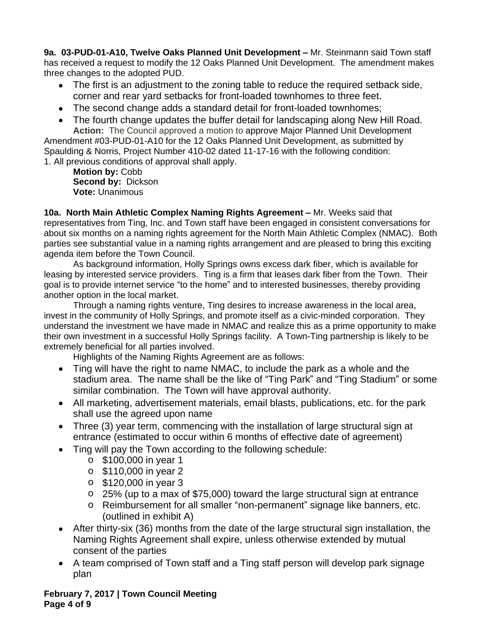**9a. 03-PUD-01-A10, Twelve Oaks Planned Unit Development –** Mr. Steinmann said Town staff has received a request to modify the 12 Oaks Planned Unit Development. The amendment makes three changes to the adopted PUD.

- The first is an adjustment to the zoning table to reduce the required setback side, corner and rear yard setbacks for front-loaded townhomes to three feet.
- The second change adds a standard detail for front-loaded townhomes;
- The fourth change updates the buffer detail for landscaping along New Hill Road. **Action:** The Council approved a motion to approve Major Planned Unit Development

Amendment #03-PUD-01-A10 for the 12 Oaks Planned Unit Development, as submitted by Spaulding & Norris, Project Number 410-02 dated 11-17-16 with the following condition: 1. All previous conditions of approval shall apply.

**Motion by:** Cobb **Second by:** Dickson **Vote:** Unanimous

**10a. North Main Athletic Complex Naming Rights Agreement –** Mr. Weeks said that representatives from Ting, Inc. and Town staff have been engaged in consistent conversations for about six months on a naming rights agreement for the North Main Athletic Complex (NMAC). Both parties see substantial value in a naming rights arrangement and are pleased to bring this exciting agenda item before the Town Council.

As background information, Holly Springs owns excess dark fiber, which is available for leasing by interested service providers. Ting is a firm that leases dark fiber from the Town. Their goal is to provide internet service "to the home" and to interested businesses, thereby providing another option in the local market.

Through a naming rights venture, Ting desires to increase awareness in the local area, invest in the community of Holly Springs, and promote itself as a civic-minded corporation. They understand the investment we have made in NMAC and realize this as a prime opportunity to make their own investment in a successful Holly Springs facility. A Town-Ting partnership is likely to be extremely beneficial for all parties involved.

Highlights of the Naming Rights Agreement are as follows:

- Ting will have the right to name NMAC, to include the park as a whole and the stadium area. The name shall be the like of "Ting Park" and "Ting Stadium" or some similar combination. The Town will have approval authority.
- All marketing, advertisement materials, email blasts, publications, etc. for the park shall use the agreed upon name
- Three (3) year term, commencing with the installation of large structural sign at entrance (estimated to occur within 6 months of effective date of agreement)
- Ting will pay the Town according to the following schedule:
	- o \$100,000 in year 1
	- o \$110,000 in year 2
	- o \$120,000 in year 3
	- o 25% (up to a max of \$75,000) toward the large structural sign at entrance
	- o Reimbursement for all smaller "non-permanent" signage like banners, etc. (outlined in exhibit A)
- After thirty-six (36) months from the date of the large structural sign installation, the Naming Rights Agreement shall expire, unless otherwise extended by mutual consent of the parties
- A team comprised of Town staff and a Ting staff person will develop park signage plan

**February 7, 2017 | Town Council Meeting Page 4 of 9**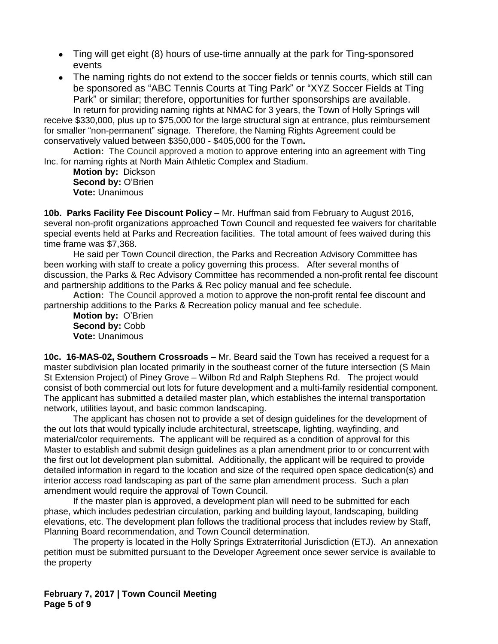- Ting will get eight (8) hours of use-time annually at the park for Ting-sponsored events
- The naming rights do not extend to the soccer fields or tennis courts, which still can be sponsored as "ABC Tennis Courts at Ting Park" or "XYZ Soccer Fields at Ting Park" or similar; therefore, opportunities for further sponsorships are available.

In return for providing naming rights at NMAC for 3 years, the Town of Holly Springs will receive \$330,000, plus up to \$75,000 for the large structural sign at entrance, plus reimbursement for smaller "non-permanent" signage. Therefore, the Naming Rights Agreement could be conservatively valued between \$350,000 - \$405,000 for the Town**.**

**Action:** The Council approved a motion to approve entering into an agreement with Ting Inc. for naming rights at North Main Athletic Complex and Stadium.

**Motion by:** Dickson **Second by:** O'Brien **Vote:** Unanimous

**10b. Parks Facility Fee Discount Policy –** Mr. Huffman said from February to August 2016, several non-profit organizations approached Town Council and requested fee waivers for charitable special events held at Parks and Recreation facilities. The total amount of fees waived during this time frame was \$7,368.

He said per Town Council direction, the Parks and Recreation Advisory Committee has been working with staff to create a policy governing this process. After several months of discussion, the Parks & Rec Advisory Committee has recommended a non-profit rental fee discount and partnership additions to the Parks & Rec policy manual and fee schedule.

**Action:** The Council approved a motion to approve the non-profit rental fee discount and partnership additions to the Parks & Recreation policy manual and fee schedule.

**Motion by:** O'Brien **Second by:** Cobb **Vote:** Unanimous

**10c. 16-MAS-02, Southern Crossroads –** Mr. Beard said the Town has received a request for a master subdivision plan located primarily in the southeast corner of the future intersection (S Main St Extension Project) of Piney Grove – Wilbon Rd and Ralph Stephens Rd. The project would consist of both commercial out lots for future development and a multi-family residential component. The applicant has submitted a detailed master plan, which establishes the internal transportation network, utilities layout, and basic common landscaping.

The applicant has chosen not to provide a set of design guidelines for the development of the out lots that would typically include architectural, streetscape, lighting, wayfinding, and material/color requirements. The applicant will be required as a condition of approval for this Master to establish and submit design guidelines as a plan amendment prior to or concurrent with the first out lot development plan submittal. Additionally, the applicant will be required to provide detailed information in regard to the location and size of the required open space dedication(s) and interior access road landscaping as part of the same plan amendment process. Such a plan amendment would require the approval of Town Council.

If the master plan is approved, a development plan will need to be submitted for each phase, which includes pedestrian circulation, parking and building layout, landscaping, building elevations, etc. The development plan follows the traditional process that includes review by Staff, Planning Board recommendation, and Town Council determination.

The property is located in the Holly Springs Extraterritorial Jurisdiction (ETJ). An annexation petition must be submitted pursuant to the Developer Agreement once sewer service is available to the property

**February 7, 2017 | Town Council Meeting Page 5 of 9**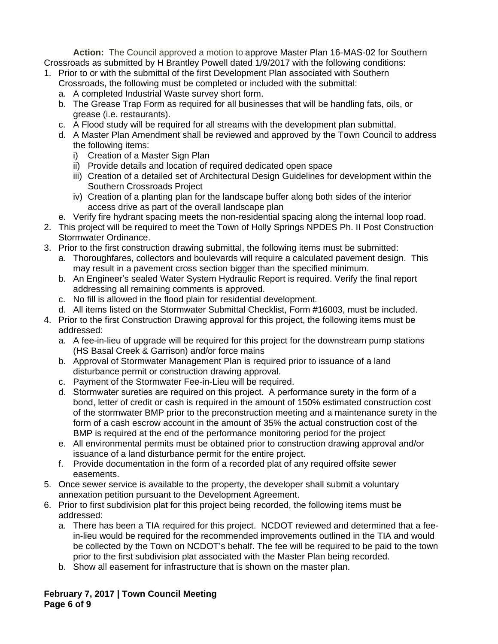**Action:** The Council approved a motion to approve Master Plan 16-MAS-02 for Southern Crossroads as submitted by H Brantley Powell dated 1/9/2017 with the following conditions:

- 1. Prior to or with the submittal of the first Development Plan associated with Southern Crossroads, the following must be completed or included with the submittal:
	- a. A completed Industrial Waste survey short form.
	- b. The Grease Trap Form as required for all businesses that will be handling fats, oils, or grease (i.e. restaurants).
	- c. A Flood study will be required for all streams with the development plan submittal.
	- d. A Master Plan Amendment shall be reviewed and approved by the Town Council to address the following items:
		- i) Creation of a Master Sign Plan
		- ii) Provide details and location of required dedicated open space
		- iii) Creation of a detailed set of Architectural Design Guidelines for development within the Southern Crossroads Project
		- iv) Creation of a planting plan for the landscape buffer along both sides of the interior access drive as part of the overall landscape plan
	- e. Verify fire hydrant spacing meets the non-residential spacing along the internal loop road.
- 2. This project will be required to meet the Town of Holly Springs NPDES Ph. II Post Construction Stormwater Ordinance.
- 3. Prior to the first construction drawing submittal, the following items must be submitted:
	- a. Thoroughfares, collectors and boulevards will require a calculated pavement design. This may result in a pavement cross section bigger than the specified minimum.
	- b. An Engineer's sealed Water System Hydraulic Report is required. Verify the final report addressing all remaining comments is approved.
	- c. No fill is allowed in the flood plain for residential development.
	- d. All items listed on the Stormwater Submittal Checklist, Form #16003, must be included.
- 4. Prior to the first Construction Drawing approval for this project, the following items must be addressed:
	- a. A fee-in-lieu of upgrade will be required for this project for the downstream pump stations (HS Basal Creek & Garrison) and/or force mains
	- b. Approval of Stormwater Management Plan is required prior to issuance of a land disturbance permit or construction drawing approval.
	- c. Payment of the Stormwater Fee-in-Lieu will be required.
	- d. Stormwater sureties are required on this project. A performance surety in the form of a bond, letter of credit or cash is required in the amount of 150% estimated construction cost of the stormwater BMP prior to the preconstruction meeting and a maintenance surety in the form of a cash escrow account in the amount of 35% the actual construction cost of the BMP is required at the end of the performance monitoring period for the project
	- e. All environmental permits must be obtained prior to construction drawing approval and/or issuance of a land disturbance permit for the entire project.
	- f. Provide documentation in the form of a recorded plat of any required offsite sewer easements.
- 5. Once sewer service is available to the property, the developer shall submit a voluntary annexation petition pursuant to the Development Agreement.
- 6. Prior to first subdivision plat for this project being recorded, the following items must be addressed:
	- a. There has been a TIA required for this project. NCDOT reviewed and determined that a feein-lieu would be required for the recommended improvements outlined in the TIA and would be collected by the Town on NCDOT's behalf. The fee will be required to be paid to the town prior to the first subdivision plat associated with the Master Plan being recorded.
	- b. Show all easement for infrastructure that is shown on the master plan.

**February 7, 2017 | Town Council Meeting Page 6 of 9**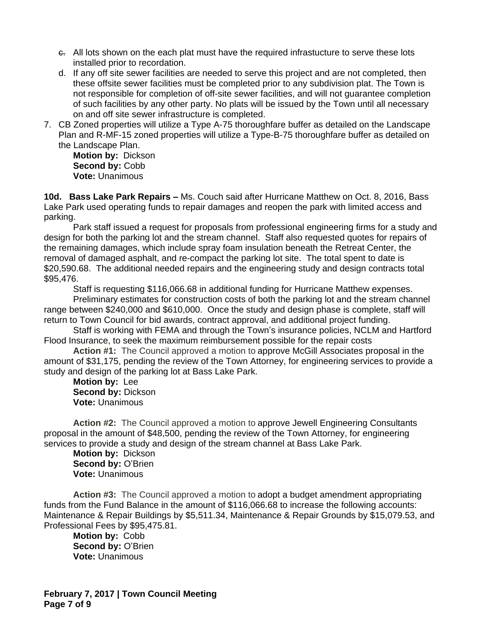- c. All lots shown on the each plat must have the required infrastucture to serve these lots installed prior to recordation.
- d. If any off site sewer facilities are needed to serve this project and are not completed, then these offsite sewer facilities must be completed prior to any subdivision plat. The Town is not responsible for completion of off-site sewer facilities, and will not guarantee completion of such facilities by any other party. No plats will be issued by the Town until all necessary on and off site sewer infrastructure is completed.
- 7. CB Zoned properties will utilize a Type A-75 thoroughfare buffer as detailed on the Landscape Plan and R-MF-15 zoned properties will utilize a Type-B-75 thoroughfare buffer as detailed on the Landscape Plan.

**Motion by:** Dickson **Second by:** Cobb **Vote:** Unanimous

**10d. Bass Lake Park Repairs –** Ms. Couch said after Hurricane Matthew on Oct. 8, 2016, Bass Lake Park used operating funds to repair damages and reopen the park with limited access and parking.

Park staff issued a request for proposals from professional engineering firms for a study and design for both the parking lot and the stream channel. Staff also requested quotes for repairs of the remaining damages, which include spray foam insulation beneath the Retreat Center, the removal of damaged asphalt, and re-compact the parking lot site. The total spent to date is \$20,590.68. The additional needed repairs and the engineering study and design contracts total \$95,476.

Staff is requesting \$116,066.68 in additional funding for Hurricane Matthew expenses.

Preliminary estimates for construction costs of both the parking lot and the stream channel range between \$240,000 and \$610,000. Once the study and design phase is complete, staff will return to Town Council for bid awards, contract approval, and additional project funding.

Staff is working with FEMA and through the Town's insurance policies, NCLM and Hartford Flood Insurance, to seek the maximum reimbursement possible for the repair costs

**Action #1:** The Council approved a motion to approve McGill Associates proposal in the amount of \$31,175, pending the review of the Town Attorney, for engineering services to provide a study and design of the parking lot at Bass Lake Park.

**Motion by:** Lee **Second by:** Dickson **Vote:** Unanimous

**Action #2:** The Council approved a motion to approve Jewell Engineering Consultants proposal in the amount of \$48,500, pending the review of the Town Attorney, for engineering services to provide a study and design of the stream channel at Bass Lake Park.

**Motion by:** Dickson **Second by:** O'Brien **Vote:** Unanimous

**Action #3:** The Council approved a motion to adopt a budget amendment appropriating funds from the Fund Balance in the amount of \$116,066.68 to increase the following accounts: Maintenance & Repair Buildings by \$5,511.34, Maintenance & Repair Grounds by \$15,079.53, and Professional Fees by \$95,475.81.

**Motion by:** Cobb **Second by: O'Brien Vote:** Unanimous

**February 7, 2017 | Town Council Meeting Page 7 of 9**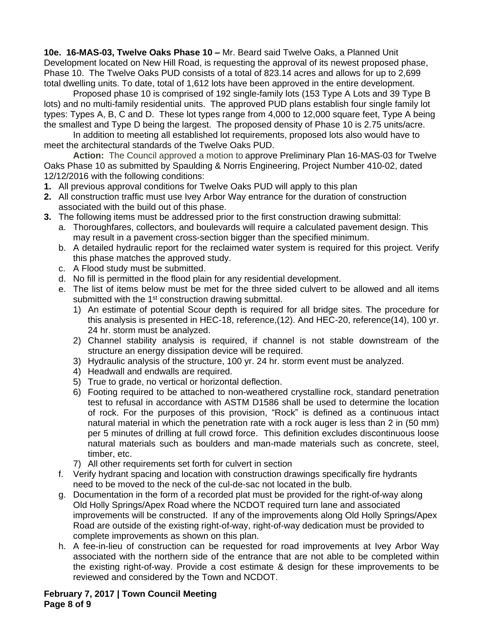**10e. 16-MAS-03, Twelve Oaks Phase 10 –** Mr. Beard said Twelve Oaks, a Planned Unit Development located on New Hill Road, is requesting the approval of its newest proposed phase, Phase 10. The Twelve Oaks PUD consists of a total of 823.14 acres and allows for up to 2,699 total dwelling units. To date, total of 1,612 lots have been approved in the entire development.

Proposed phase 10 is comprised of 192 single-family lots (153 Type A Lots and 39 Type B lots) and no multi-family residential units. The approved PUD plans establish four single family lot types: Types A, B, C and D. These lot types range from 4,000 to 12,000 square feet, Type A being the smallest and Type D being the largest. The proposed density of Phase 10 is 2.75 units/acre.

In addition to meeting all established lot requirements, proposed lots also would have to meet the architectural standards of the Twelve Oaks PUD.

**Action:** The Council approved a motion to approve Preliminary Plan 16-MAS-03 for Twelve Oaks Phase 10 as submitted by Spaulding & Norris Engineering, Project Number 410-02, dated 12/12/2016 with the following conditions:

- **1.** All previous approval conditions for Twelve Oaks PUD will apply to this plan
- **2.** All construction traffic must use Ivey Arbor Way entrance for the duration of construction associated with the build out of this phase.
- **3.** The following items must be addressed prior to the first construction drawing submittal:
	- a. Thoroughfares, collectors, and boulevards will require a calculated pavement design. This may result in a pavement cross-section bigger than the specified minimum.
	- b. A detailed hydraulic report for the reclaimed water system is required for this project. Verify this phase matches the approved study.
	- c. A Flood study must be submitted.
	- d. No fill is permitted in the flood plain for any residential development.
	- e. The list of items below must be met for the three sided culvert to be allowed and all items submitted with the 1<sup>st</sup> construction drawing submittal.
		- 1) An estimate of potential Scour depth is required for all bridge sites. The procedure for this analysis is presented in HEC-18, reference,(12). And HEC-20, reference(14), 100 yr. 24 hr. storm must be analyzed.
		- 2) Channel stability analysis is required, if channel is not stable downstream of the structure an energy dissipation device will be required.
		- 3) Hydraulic analysis of the structure, 100 yr. 24 hr. storm event must be analyzed.
		- 4) Headwall and endwalls are required.
		- 5) True to grade, no vertical or horizontal deflection.
		- 6) Footing required to be attached to non-weathered crystalline rock, standard penetration test to refusal in accordance with ASTM D1586 shall be used to determine the location of rock. For the purposes of this provision, "Rock" is defined as a continuous intact natural material in which the penetration rate with a rock auger is less than 2 in (50 mm) per 5 minutes of drilling at full crowd force. This definition excludes discontinuous loose natural materials such as boulders and man-made materials such as concrete, steel, timber, etc.
		- 7) All other requirements set forth for culvert in section
	- f. Verify hydrant spacing and location with construction drawings specifically fire hydrants need to be moved to the neck of the cul-de-sac not located in the bulb.
	- g. Documentation in the form of a recorded plat must be provided for the right-of-way along Old Holly Springs/Apex Road where the NCDOT required turn lane and associated improvements will be constructed. If any of the improvements along Old Holly Springs/Apex Road are outside of the existing right-of-way, right-of-way dedication must be provided to complete improvements as shown on this plan.
	- h. A fee-in-lieu of construction can be requested for road improvements at Ivey Arbor Way associated with the northern side of the entrance that are not able to be completed within the existing right-of-way. Provide a cost estimate & design for these improvements to be reviewed and considered by the Town and NCDOT.

**February 7, 2017 | Town Council Meeting Page 8 of 9**